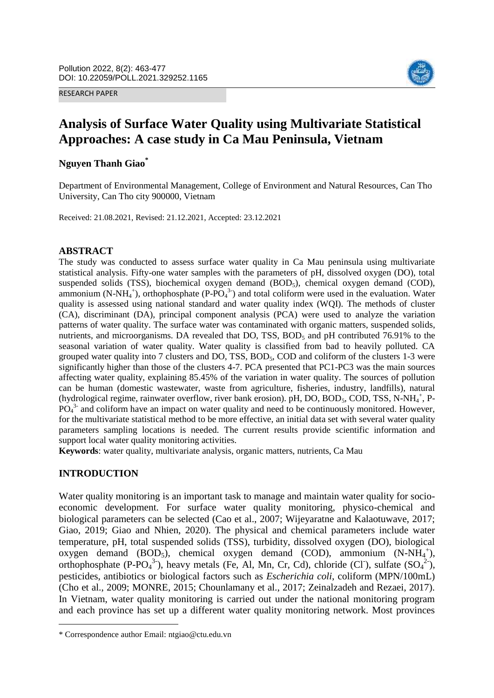RESEARCH PAPER



# **Analysis of Surface Water Quality using Multivariate Statistical Approaches: A case study in Ca Mau Peninsula, Vietnam**

## **Nguyen Thanh Giao\***

Department of Environmental Management, College of Environment and Natural Resources, Can Tho University, Can Tho city 900000, Vietnam

Received: 21.08.2021, Revised: 21.12.2021, Accepted: 23.12.2021

#### **ABSTRACT**

The study was conducted to assess surface water quality in Ca Mau peninsula using multivariate statistical analysis. Fifty-one water samples with the parameters of pH, dissolved oxygen (DO), total suspended solids (TSS), biochemical oxygen demand (BOD<sub>5</sub>), chemical oxygen demand (COD), ammonium (N-NH<sub>4</sub><sup>+</sup>), orthophosphate (P-PO<sub>4</sub><sup>3</sup>) and total coliform were used in the evaluation. Water quality is assessed using national standard and water quality index (WQI). The methods of cluster (CA), discriminant (DA), principal component analysis (PCA) were used to analyze the variation patterns of water quality. The surface water was contaminated with organic matters, suspended solids, nutrients, and microorganisms. DA revealed that DO, TSS, BOD<sub>5</sub> and pH contributed 76.91% to the seasonal variation of water quality. Water quality is classified from bad to heavily polluted. CA grouped water quality into 7 clusters and DO, TSS, BOD<sub>5</sub>, COD and coliform of the clusters 1-3 were significantly higher than those of the clusters 4-7. PCA presented that PC1-PC3 was the main sources affecting water quality, explaining 85.45% of the variation in water quality. The sources of pollution can be human (domestic wastewater, waste from agriculture, fisheries, industry, landfills), natural (hydrological regime, rainwater overflow, river bank erosion). pH, DO, BOD<sub>5</sub>, COD, TSS, N-NH<sub>4</sub><sup>+</sup>, P- $\overline{PO_4}^3$  and coliform have an impact on water quality and need to be continuously monitored. However, for the multivariate statistical method to be more effective, an initial data set with several water quality parameters sampling locations is needed. The current results provide scientific information and support local water quality monitoring activities.

**Keywords**: water quality, multivariate analysis, organic matters, nutrients, Ca Mau

## **INTRODUCTION**

l

Water quality monitoring is an important task to manage and maintain water quality for socioeconomic development. For surface water quality monitoring, physico-chemical and biological parameters can be selected (Cao et al., 2007; Wijeyaratne and Kalaotuwave, 2017; Giao, 2019; Giao and Nhien, 2020). The physical and chemical parameters include water temperature, pH, total suspended solids (TSS), turbidity, dissolved oxygen (DO), biological oxygen demand (BOD<sub>5</sub>), chemical oxygen demand (COD), ammonium (N-NH<sub>4</sub><sup>+</sup>), orthophosphate (P-PO<sub>4</sub><sup>3-</sup>), heavy metals (Fe, Al, Mn, Cr, Cd), chloride (Cl), sulfate (SO<sub>4</sub><sup>2-</sup>), pesticides, antibiotics or biological factors such as *Escherichia coli*, coliform (MPN/100mL) (Cho et al., 2009; MONRE, 2015; Chounlamany et al., 2017; Zeinalzadeh and Rezaei, 2017). In Vietnam, water quality monitoring is carried out under the national monitoring program and each province has set up a different water quality monitoring network. Most provinces

<sup>\*</sup> Correspondence author Email: ntgiao@ctu.edu.vn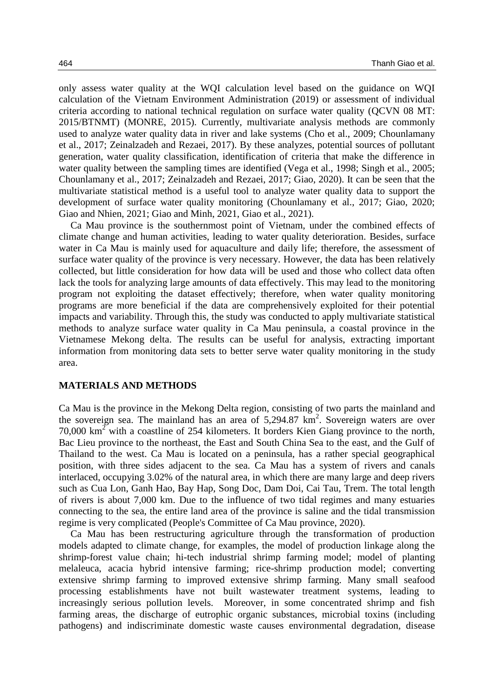only assess water quality at the WQI calculation level based on the guidance on WQI calculation of the Vietnam Environment Administration (2019) or assessment of individual criteria according to national technical regulation on surface water quality (QCVN 08 MT: 2015/BTNMT) (MONRE, 2015). Currently, multivariate analysis methods are commonly used to analyze water quality data in river and lake systems (Cho et al., 2009; Chounlamany et al., 2017; Zeinalzadeh and Rezaei, 2017). By these analyzes, potential sources of pollutant generation, water quality classification, identification of criteria that make the difference in water quality between the sampling times are identified (Vega et al., 1998; Singh et al., 2005; Chounlamany et al., 2017; Zeinalzadeh and Rezaei, 2017; Giao, 2020). It can be seen that the multivariate statistical method is a useful tool to analyze water quality data to support the development of surface water quality monitoring (Chounlamany et al., 2017; Giao, 2020; Giao and Nhien, 2021; Giao and Minh, 2021, Giao et al., 2021).

Ca Mau province is the southernmost point of Vietnam, under the combined effects of climate change and human activities, leading to water quality deterioration. Besides, surface water in Ca Mau is mainly used for aquaculture and daily life; therefore, the assessment of surface water quality of the province is very necessary. However, the data has been relatively collected, but little consideration for how data will be used and those who collect data often lack the tools for analyzing large amounts of data effectively. This may lead to the monitoring program not exploiting the dataset effectively; therefore, when water quality monitoring programs are more beneficial if the data are comprehensively exploited for their potential impacts and variability. Through this, the study was conducted to apply multivariate statistical methods to analyze surface water quality in Ca Mau peninsula, a coastal province in the Vietnamese Mekong delta. The results can be useful for analysis, extracting important information from monitoring data sets to better serve water quality monitoring in the study area.

#### **MATERIALS AND METHODS**

Ca Mau is the province in the Mekong Delta region, consisting of two parts the mainland and the sovereign sea. The mainland has an area of  $5,294.87 \text{ km}^2$ . Sovereign waters are over 70,000  $km<sup>2</sup>$  with a coastline of 254 kilometers. It borders Kien Giang province to the north, Bac Lieu province to the northeast, the East and South China Sea to the east, and the Gulf of Thailand to the west. Ca Mau is located on a peninsula, has a rather special geographical position, with three sides adjacent to the sea. Ca Mau has a system of rivers and canals interlaced, occupying 3.02% of the natural area, in which there are many large and deep rivers such as Cua Lon, Ganh Hao, Bay Hap, Song Doc, Dam Doi, Cai Tau, Trem. The total length of rivers is about 7,000 km. Due to the influence of two tidal regimes and many estuaries connecting to the sea, the entire land area of the province is saline and the tidal transmission regime is very complicated (People's Committee of Ca Mau province, 2020).

Ca Mau has been restructuring agriculture through the transformation of production models adapted to climate change, for examples, the model of production linkage along the shrimp-forest value chain; hi-tech industrial shrimp farming model; model of planting melaleuca, acacia hybrid intensive farming; rice-shrimp production model; converting extensive shrimp farming to improved extensive shrimp farming. Many small seafood processing establishments have not built wastewater treatment systems, leading to increasingly serious pollution levels. Moreover, in some concentrated shrimp and fish farming areas, the discharge of eutrophic organic substances, microbial toxins (including pathogens) and indiscriminate domestic waste causes environmental degradation, disease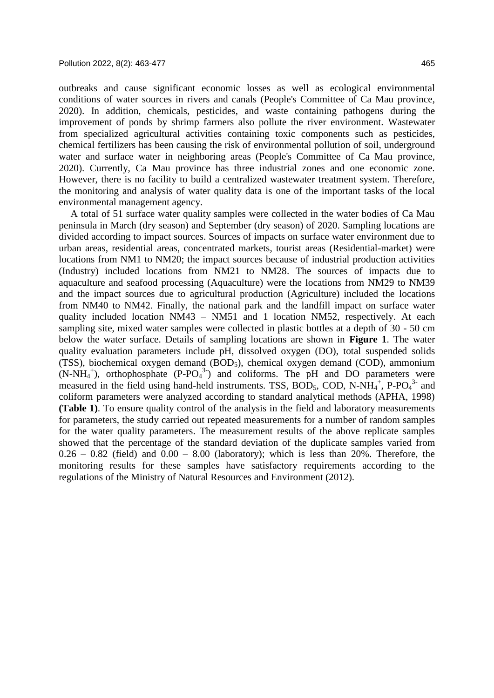outbreaks and cause significant economic losses as well as ecological environmental conditions of water sources in rivers and canals (People's Committee of Ca Mau province, 2020). In addition, chemicals, pesticides, and waste containing pathogens during the improvement of ponds by shrimp farmers also pollute the river environment. Wastewater from specialized agricultural activities containing toxic components such as pesticides, chemical fertilizers has been causing the risk of environmental pollution of soil, underground water and surface water in neighboring areas (People's Committee of Ca Mau province, 2020). Currently, Ca Mau province has three industrial zones and one economic zone. However, there is no facility to build a centralized wastewater treatment system. Therefore, the monitoring and analysis of water quality data is one of the important tasks of the local environmental management agency.

A total of 51 surface water quality samples were collected in the water bodies of Ca Mau peninsula in March (dry season) and September (dry season) of 2020. Sampling locations are divided according to impact sources. Sources of impacts on surface water environment due to urban areas, residential areas, concentrated markets, tourist areas (Residential-market) were locations from NM1 to NM20; the impact sources because of industrial production activities (Industry) included locations from NM21 to NM28. The sources of impacts due to aquaculture and seafood processing (Aquaculture) were the locations from NM29 to NM39 and the impact sources due to agricultural production (Agriculture) included the locations from NM40 to NM42. Finally, the national park and the landfill impact on surface water quality included location NM43 – NM51 and 1 location NM52, respectively. At each sampling site, mixed water samples were collected in plastic bottles at a depth of 30 - 50 cm below the water surface. Details of sampling locations are shown in **Figure 1**. The water quality evaluation parameters include pH, dissolved oxygen (DO), total suspended solids (TSS), biochemical oxygen demand  $(BOD<sub>5</sub>)$ , chemical oxygen demand  $(COD)$ , ammonium  $(N-NH<sub>4</sub><sup>+</sup>)$ , orthophosphate  $(P-PO<sub>4</sub><sup>3</sup>)$  and coliforms. The pH and DO parameters were measured in the field using hand-held instruments. TSS,  $BOD_5$ ,  $COD$ ,  $N-NH_4^+$ ,  $P-PO_4^3$  and coliform parameters were analyzed according to standard analytical methods (APHA, 1998) **(Table 1)**. To ensure quality control of the analysis in the field and laboratory measurements for parameters, the study carried out repeated measurements for a number of random samples for the water quality parameters. The measurement results of the above replicate samples showed that the percentage of the standard deviation of the duplicate samples varied from  $0.26 - 0.82$  (field) and  $0.00 - 8.00$  (laboratory); which is less than 20%. Therefore, the monitoring results for these samples have satisfactory requirements according to the regulations of the Ministry of Natural Resources and Environment (2012).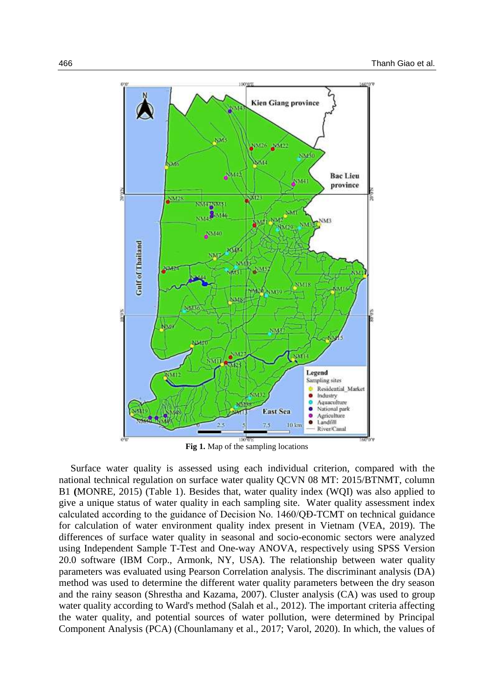

**Fig 1.** Map of the sampling locations

Surface water quality is assessed using each individual criterion, compared with the national technical regulation on surface water quality QCVN 08 MT: 2015/BTNMT, column B1 **(**MONRE, 2015) (Table 1). Besides that, water quality index (WQI) was also applied to give a unique status of water quality in each sampling site. Water quality assessment index calculated according to the guidance of Decision No. 1460/QĐ-TCMT on technical guidance for calculation of water environment quality index present in Vietnam (VEA, 2019). The differences of surface water quality in seasonal and socio-economic sectors were analyzed using Independent Sample T-Test and One-way ANOVA, respectively using SPSS Version 20.0 software (IBM Corp., Armonk, NY, USA). The relationship between water quality parameters was evaluated using Pearson Correlation analysis. The discriminant analysis (DA) method was used to determine the different water quality parameters between the dry season and the rainy season (Shrestha and Kazama, 2007). Cluster analysis (CA) was used to group water quality according to Ward's method (Salah et al., 2012). The important criteria affecting the water quality, and potential sources of water pollution, were determined by Principal Component Analysis (PCA) (Chounlamany et al., 2017; Varol, 2020). In which, the values of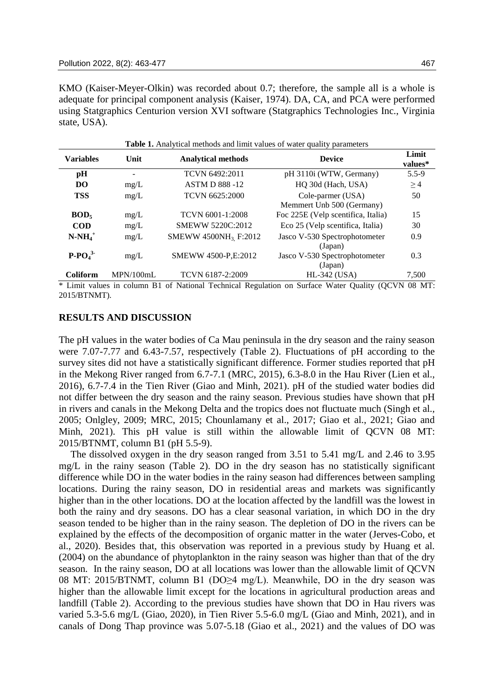KMO (Kaiser-Meyer-Olkin) was recorded about 0.7; therefore, the sample all is a whole is adequate for principal component analysis (Kaiser, 1974). DA, CA, and PCA were performed using Statgraphics Centurion version XVI software (Statgraphics Technologies Inc., Virginia state, USA).

|                  | <b>Table 1.</b> Analytical methods and limit values of water quality parameters |                                  |                                    |                  |  |  |  |  |
|------------------|---------------------------------------------------------------------------------|----------------------------------|------------------------------------|------------------|--|--|--|--|
| <b>Variables</b> | Unit                                                                            | <b>Analytical methods</b>        | <b>Device</b>                      | Limit<br>values* |  |  |  |  |
| pH               | $\overline{\phantom{m}}$                                                        | TCVN 6492:2011                   | pH 3110i (WTW, Germany)            | $5.5 - 9$        |  |  |  |  |
| DO               | mg/L                                                                            | <b>ASTM D 888 -12</b>            | HQ 30d (Hach, USA)                 | $\geq 4$         |  |  |  |  |
| <b>TSS</b>       | mg/L                                                                            | TCVN 6625:2000                   | Cole-parmer (USA)                  | 50               |  |  |  |  |
|                  |                                                                                 |                                  | Memmert Unb 500 (Germany)          |                  |  |  |  |  |
| BOD <sub>5</sub> | mg/L                                                                            | TCVN 6001-1:2008                 | Foc 225E (Velp scentifica, Italia) | 15               |  |  |  |  |
| <b>COD</b>       | mg/L                                                                            | SMEWW 5220C:2012                 | Eco 25 (Velp scentifica, Italia)   | 30               |  |  |  |  |
| $N-NH_4^+$       | mg/L                                                                            | SMEWW 4500NH <sub>3</sub> F:2012 | Jasco V-530 Spectrophotometer      | 0.9              |  |  |  |  |
|                  |                                                                                 |                                  | (Japan)                            |                  |  |  |  |  |
| $P-PO43$         | mg/L                                                                            | SMEWW 4500-P,E:2012              | Jasco V-530 Spectrophotometer      | 0.3              |  |  |  |  |
|                  |                                                                                 |                                  | (Japan)                            |                  |  |  |  |  |
| <b>Coliform</b>  | MPN/100mL                                                                       | TCVN 6187-2:2009                 | $HL-342$ (USA)                     | 7,500            |  |  |  |  |

\* Limit values in column B1 of National Technical Regulation on Surface Water Quality (QCVN 08 MT: 2015/BTNMT).

#### **RESULTS AND DISCUSSION**

The pH values in the water bodies of Ca Mau peninsula in the dry season and the rainy season were 7.07-7.77 and 6.43-7.57, respectively (Table 2). Fluctuations of pH according to the survey sites did not have a statistically significant difference. Former studies reported that pH in the Mekong River ranged from 6.7-7.1 (MRC, 2015), 6.3-8.0 in the Hau River (Lien et al., 2016), 6.7-7.4 in the Tien River (Giao and Minh, 2021). pH of the studied water bodies did not differ between the dry season and the rainy season. Previous studies have shown that pH in rivers and canals in the Mekong Delta and the tropics does not fluctuate much (Singh et al., 2005; Onlgley, 2009; MRC, 2015; Chounlamany et al., 2017; Giao et al., 2021; Giao and Minh, 2021). This pH value is still within the allowable limit of QCVN 08 MT: 2015/BTNMT, column B1 (pH 5.5-9).

The dissolved oxygen in the dry season ranged from 3.51 to 5.41 mg/L and 2.46 to 3.95 mg/L in the rainy season (Table 2). DO in the dry season has no statistically significant difference while DO in the water bodies in the rainy season had differences between sampling locations. During the rainy season, DO in residential areas and markets was significantly higher than in the other locations. DO at the location affected by the landfill was the lowest in both the rainy and dry seasons. DO has a clear seasonal variation, in which DO in the dry season tended to be higher than in the rainy season. The depletion of DO in the rivers can be explained by the effects of the decomposition of organic matter in the water (Jerves-Cobo, et al., 2020). Besides that, this observation was reported in a previous study by Huang et al. (2004) on the abundance of phytoplankton in the rainy season was higher than that of the dry season. In the rainy season, DO at all locations was lower than the allowable limit of QCVN 08 MT: 2015/BTNMT, column B1 (DO≥4 mg/L). Meanwhile, DO in the dry season was higher than the allowable limit except for the locations in agricultural production areas and landfill (Table 2). According to the previous studies have shown that DO in Hau rivers was varied 5.3-5.6 mg/L (Giao, 2020), in Tien River 5.5-6.0 mg/L (Giao and Minh, 2021), and in canals of Dong Thap province was 5.07-5.18 (Giao et al., 2021) and the values of DO was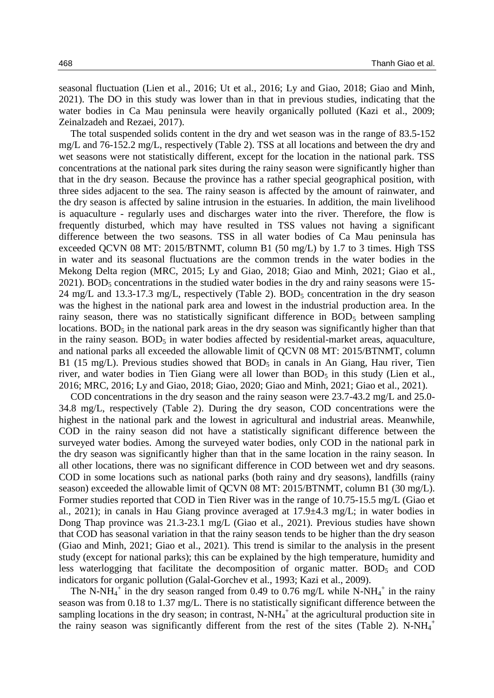seasonal fluctuation (Lien et al., 2016; Ut et al., 2016; Ly and Giao, 2018; Giao and Minh, 2021). The DO in this study was lower than in that in previous studies, indicating that the water bodies in Ca Mau peninsula were heavily organically polluted (Kazi et al., 2009; Zeinalzadeh and Rezaei, 2017).

The total suspended solids content in the dry and wet season was in the range of 83.5-152 mg/L and 76-152.2 mg/L, respectively (Table 2). TSS at all locations and between the dry and wet seasons were not statistically different, except for the location in the national park. TSS concentrations at the national park sites during the rainy season were significantly higher than that in the dry season. Because the province has a rather special geographical position, with three sides adjacent to the sea. The rainy season is affected by the amount of rainwater, and the dry season is affected by saline intrusion in the estuaries. In addition, the main livelihood is aquaculture - regularly uses and discharges water into the river. Therefore, the flow is frequently disturbed, which may have resulted in TSS values not having a significant difference between the two seasons. TSS in all water bodies of Ca Mau peninsula has exceeded QCVN 08 MT: 2015/BTNMT, column B1 (50 mg/L) by 1.7 to 3 times. High TSS in water and its seasonal fluctuations are the common trends in the water bodies in the Mekong Delta region (MRC, 2015; Ly and Giao, 2018; Giao and Minh, 2021; Giao et al.,  $2021$ ). BOD<sub>5</sub> concentrations in the studied water bodies in the dry and rainy seasons were 15-24 mg/L and 13.3-17.3 mg/L, respectively (Table 2).  $BOD<sub>5</sub>$  concentration in the dry season was the highest in the national park area and lowest in the industrial production area. In the rainy season, there was no statistically significant difference in  $BOD<sub>5</sub>$  between sampling locations.  $BOD<sub>5</sub>$  in the national park areas in the dry season was significantly higher than that in the rainy season.  $BOD<sub>5</sub>$  in water bodies affected by residential-market areas, aquaculture, and national parks all exceeded the allowable limit of QCVN 08 MT: 2015/BTNMT, column B1 (15 mg/L). Previous studies showed that  $BOD<sub>5</sub>$  in canals in An Giang, Hau river, Tien river, and water bodies in Tien Giang were all lower than  $BOD_5$  in this study (Lien et al., 2016; MRC, 2016; Ly and Giao, 2018; Giao, 2020; Giao and Minh, 2021; Giao et al., 2021).

COD concentrations in the dry season and the rainy season were 23.7-43.2 mg/L and 25.0- 34.8 mg/L, respectively (Table 2). During the dry season, COD concentrations were the highest in the national park and the lowest in agricultural and industrial areas. Meanwhile, COD in the rainy season did not have a statistically significant difference between the surveyed water bodies. Among the surveyed water bodies, only COD in the national park in the dry season was significantly higher than that in the same location in the rainy season. In all other locations, there was no significant difference in COD between wet and dry seasons. COD in some locations such as national parks (both rainy and dry seasons), landfills (rainy season) exceeded the allowable limit of QCVN 08 MT: 2015/BTNMT, column B1 (30 mg/L). Former studies reported that COD in Tien River was in the range of 10.75-15.5 mg/L (Giao et al., 2021); in canals in Hau Giang province averaged at 17.9±4.3 mg/L; in water bodies in Dong Thap province was 21.3-23.1 mg/L (Giao et al., 2021). Previous studies have shown that COD has seasonal variation in that the rainy season tends to be higher than the dry season (Giao and Minh, 2021; Giao et al., 2021). This trend is similar to the analysis in the present study (except for national parks); this can be explained by the high temperature, humidity and less waterlogging that facilitate the decomposition of organic matter.  $BOD<sub>5</sub>$  and COD indicators for organic pollution (Galal-Gorchev et al., 1993; Kazi et al., 2009).

The N-NH<sub>4</sub><sup>+</sup> in the dry season ranged from 0.49 to 0.76 mg/L while N-NH<sub>4</sub><sup>+</sup> in the rainy season was from 0.18 to 1.37 mg/L. There is no statistically significant difference between the sampling locations in the dry season; in contrast,  $N-NH_4^+$  at the agricultural production site in the rainy season was significantly different from the rest of the sites (Table 2). N-NH<sub>4</sub><sup>+</sup>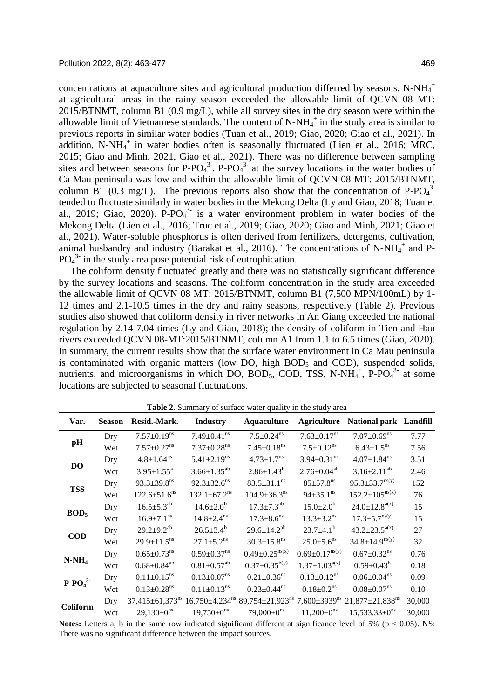concentrations at aquaculture sites and agricultural production differred by seasons. N-NH $_4^+$ at agricultural areas in the rainy season exceeded the allowable limit of QCVN 08 MT: 2015/BTNMT, column B1 (0.9 mg/L), while all survey sites in the dry season were within the allowable limit of Vietnamese standards. The content of  $N-NH_4^+$  in the study area is similar to previous reports in similar water bodies (Tuan et al., 2019; Giao, 2020; Giao et al., 2021). In addition, N-NH $_4$ <sup>+</sup> in water bodies often is seasonally fluctuated (Lien et al., 2016; MRC, 2015; Giao and Minh, 2021, Giao et al., 2021). There was no difference between sampling sites and between seasons for  $P$ - $PO<sub>4</sub><sup>3</sup>$ .  $P$ - $PO<sub>4</sub><sup>3</sup>$  at the survey locations in the water bodies of Ca Mau peninsula was low and within the allowable limit of QCVN 08 MT: 2015/BTNMT, column B1 (0.3 mg/L). The previous reports also show that the concentration of P-PO $_4$ <sup>3-</sup> tended to fluctuate similarly in water bodies in the Mekong Delta (Ly and Giao, 2018; Tuan et al., 2019; Giao, 2020). P-PO $_4^3$  is a water environment problem in water bodies of the Mekong Delta (Lien et al., 2016; Truc et al., 2019; Giao, 2020; Giao and Minh, 2021; Giao et al., 2021). Water-soluble phosphorus is often derived from fertilizers, detergents, cultivation, animal husbandry and industry (Barakat et al., 2016). The concentrations of N-NH $_4^+$  and P- $PO<sub>4</sub><sup>3</sup>$  in the study area pose potential risk of eutrophication.

The coliform density fluctuated greatly and there was no statistically significant difference by the survey locations and seasons. The coliform concentration in the study area exceeded the allowable limit of QCVN 08 MT: 2015/BTNMT, column B1 (7,500 MPN/100mL) by 1- 12 times and 2.1-10.5 times in the dry and rainy seasons, respectively (Table 2). Previous studies also showed that coliform density in river networks in An Giang exceeded the national regulation by 2.14-7.04 times (Ly and Giao, 2018); the density of coliform in Tien and Hau rivers exceeded QCVN 08-MT:2015/BTNMT, column A1 from 1.1 to 6.5 times (Giao, 2020). In summary, the current results show that the surface water environment in Ca Mau peninsula is contaminated with organic matters (low DO, high  $BOD<sub>5</sub>$  and COD), suspended solids, nutrients, and microorganisms in which DO,  $BOD_5$ , COD, TSS, N-NH<sub>4</sub><sup>+</sup>, P-PO<sub>4</sub><sup>3-</sup> at some locations are subjected to seasonal fluctuations.

| Var.             | <b>Season</b> | Resid.-Mark.                      | <b>Industry</b>                  | <b>Aquaculture</b>             | <b>Agriculture</b>             | <b>National park</b> Landfill                                                    |        |
|------------------|---------------|-----------------------------------|----------------------------------|--------------------------------|--------------------------------|----------------------------------------------------------------------------------|--------|
| pH               | Dry           | $7.57 \pm 0.19$ <sup>ns</sup>     | $7.49 \pm 0.41$ <sup>ns</sup>    | $7.5 \pm 0.24$ <sup>ns</sup>   | $7.63 \pm 0.17$ <sup>ns</sup>  | $7.07 \pm 0.69$ <sup>ns</sup>                                                    | 7.77   |
|                  | Wet           | $7.57 \pm 0.27$ <sup>ns</sup>     | $7.37 \pm 0.28$ <sup>ns</sup>    | $7.45 \pm 0.18$ <sup>ns</sup>  | $7.5 \pm 0.12$ <sup>ns</sup>   | $6.43 \pm 1.5$ <sup>ns</sup>                                                     | 7.56   |
| <b>DO</b>        | Dry           | $4.8 \pm 1.64$ <sup>ns</sup>      | $5.41 \pm 2.19$ <sup>ns</sup>    | $4.73 \pm 1.7$ <sup>ns</sup>   | $3.94 \pm 0.31$ <sup>ns</sup>  | $4.07 \pm 1.84$ <sup>ns</sup>                                                    | 3.51   |
|                  | Wet           | $3.95 \pm 1.55^{\text{a}}$        | $3.66 \pm 1.35^{ab}$             | $2.86 \pm 1.43^b$              | $2.76 \pm 0.04^{ab}$           | $3.16 \pm 2.11^{ab}$                                                             | 2.46   |
|                  | Dry           | $93.3 \pm 39.8$ <sup>ns</sup>     | $92.3 \pm 32.6$ <sup>ns</sup>    | $83.5 \pm 31.1$ <sup>ns</sup>  | $85 + 57.8$ <sup>ns</sup>      | $95.3 \pm 33.7^{\text{ns(y)}}$                                                   | 152    |
| <b>TSS</b>       | Wet           | $122.6 \pm 51.6$ <sup>ns</sup>    | $132.1 \pm 67.2$ <sup>ns</sup>   | $104.9 \pm 36.3$ <sup>ns</sup> | $94 \pm 35.1$ <sup>ns</sup>    | $152.2 \pm 105^{\text{ns}(x)}$                                                   | 76     |
| BOD <sub>5</sub> | Dry           | $16.5 \pm 5.3^{ab}$               | $14.6{\pm}2.0^b$                 | $17.3 \pm 7.3$ <sup>ab</sup>   | $15.0{\pm}2.0^b$               | $24.0 \pm 12.8^{\text{a(x)}}$                                                    | 15     |
|                  | Wet           | $16.9 \pm 7.1$ <sup>ns</sup>      | $14.8 \pm 2.4$ <sup>ns</sup>     | $17.3 \pm 8.6$ <sup>ns</sup>   | $13.3 \pm 3.2$ <sup>ns</sup>   | $17.3 \pm 5.7^{\text{ns(y)}}$                                                    | 15     |
|                  | Dry           | $29.2 \pm 9.2^{ab}$               | $26.5 \pm 3.4^b$                 | $29.6 \pm 14.2^{ab}$           | $23.7 \pm 4.1^b$               | $43.2 \pm 23.5^{a(x)}$                                                           | 27     |
| <b>COD</b>       | Wet           | $29.9 \pm 11.5$ <sup>ns</sup>     | $27.1 \pm 5.2$ <sup>ns</sup>     | $30.3 \pm 15.8$ <sup>ns</sup>  | $25.0 \pm 5.6$ <sup>ns</sup>   | $34.8 \pm 14.9^{\text{ns(y)}}$                                                   | 32     |
| $N-NH_4^+$       | Dry           | $0.65 \pm 0.73$ <sup>ns</sup>     | $0.59 \pm 0.37$ <sup>ns</sup>    | $0.49 \pm 0.25^{\text{ns}(x)}$ | $0.69 \pm 0.17^{\text{ns(y)}}$ | $0.67 \pm 0.32$ <sup>ns</sup>                                                    | 0.76   |
|                  | Wet           | $0.68 \pm 0.84^{ab}$              | $0.81 \pm 0.57$ <sup>ab</sup>    | $0.37 \pm 0.35^{b(y)}$         | $1.37 \pm 1.03^{a(x)}$         | $0.59 \pm 0.43^b$                                                                | 0.18   |
| $P-PO43$         | Dry           | $0.11 \pm 0.15$ <sup>ns</sup>     | $0.13 \pm 0.07$ <sup>ns</sup>    | $0.21 \pm 0.36$ <sup>ns</sup>  | $0.13 \pm 0.12$ <sup>ns</sup>  | $0.06 \pm 0.04$ <sup>ns</sup>                                                    | 0.09   |
|                  | Wet           | $0.13 \pm 0.28$ <sup>ns</sup>     | $0.11 \pm 0.13$ <sup>ns</sup>    | $0.23 \pm 0.44$ <sup>ns</sup>  | $0.18 \pm 0.2$ <sup>ns</sup>   | $0.08 \pm 0.07$ <sup>ns</sup>                                                    | 0.10   |
| Coliform         | Dry           | $37,415 \pm 61,373$ <sup>ns</sup> | $16,750 \pm 4,234$ <sup>ns</sup> |                                |                                | 89,754±21,923 <sup>ns</sup> 7,600±3939 <sup>ns</sup> 21,877±21,838 <sup>ns</sup> | 30,000 |
|                  | Wet           | $29,130\pm0^{ns}$                 | $19,750\pm0^{ns}$                | $79,000 \pm 0^{ns}$            | $11,200 \pm 0^{\text{ns}}$     | $15,533.33 \pm 0^{ns}$                                                           | 30,000 |

**Table 2.** Summary of surface water quality in the study area

**Notes:** Letters a, b in the same row indicated significant different at significance level of  $5\%$  ( $p < 0.05$ ). NS: There was no significant difference between the impact sources.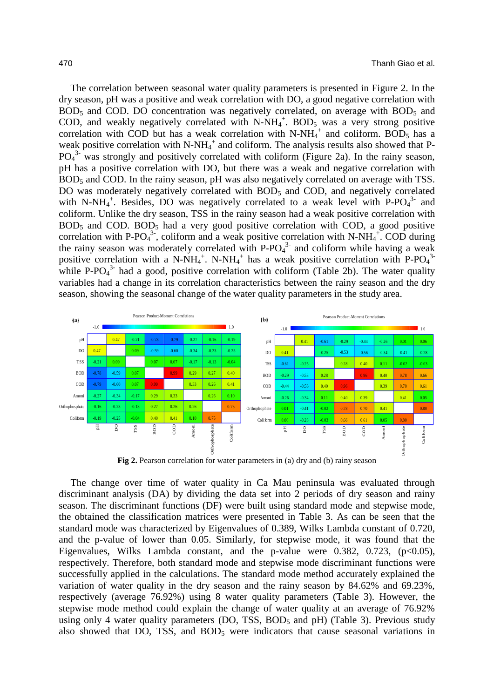The correlation between seasonal water quality parameters is presented in Figure 2. In the dry season, pH was a positive and weak correlation with DO, a good negative correlation with  $BOD<sub>5</sub>$  and COD. DO concentration was negatively correlated, on average with  $BOD<sub>5</sub>$  and COD, and weakly negatively correlated with  $N-NH_4^+$ . BOD<sub>5</sub> was a very strong positive correlation with COD but has a weak correlation with  $N-NH_4^+$  and coliform. BOD<sub>5</sub> has a weak positive correlation with  $N-NH_4^+$  and coliform. The analysis results also showed that P- $PO<sub>4</sub><sup>3</sup>$  was strongly and positively correlated with coliform (Figure 2a). In the rainy season, pH has a positive correlation with DO, but there was a weak and negative correlation with BOD<sub>5</sub> and COD. In the rainy season, pH was also negatively correlated on average with TSS. DO was moderately negatively correlated with  $BOD<sub>5</sub>$  and COD, and negatively correlated with N-NH<sub>4</sub><sup>+</sup>. Besides, DO was negatively correlated to a weak level with P-PO<sub>4</sub><sup>3-</sup> and coliform. Unlike the dry season, TSS in the rainy season had a weak positive correlation with  $BOD<sub>5</sub>$  and COD.  $BOD<sub>5</sub>$  had a very good positive correlation with COD, a good positive correlation with P-PO<sub>4</sub><sup>3</sup>, coliform and a weak positive correlation with N-NH<sub>4</sub><sup>+</sup>. COD during the rainy season was moderately correlated with  $P$ - $PO<sub>4</sub><sup>3</sup>$  and coliform while having a weak positive correlation with a N-NH<sub>4</sub><sup>+</sup>. N-NH<sub>4</sub><sup>+</sup> has a weak positive correlation with P-PO<sub>4</sub><sup>3</sup> while P-PO $_4$ <sup>3-</sup> had a good, positive correlation with coliform (Table 2b). The water quality variables had a change in its correlation characteristics between the rainy season and the dry season, showing the seasonal change of the water quality parameters in the study area.



**Fig 2.** Pearson correlation for water parameters in (a) dry and (b) rainy season

The change over time of water quality in Ca Mau peninsula was evaluated through discriminant analysis (DA) by dividing the data set into 2 periods of dry season and rainy season. The discriminant functions (DF) were built using standard mode and stepwise mode, the obtained the classification matrices were presented in Table 3. As can be seen that the standard mode was characterized by Eigenvalues of 0.389, Wilks Lambda constant of 0.720, and the p-value of lower than 0.05. Similarly, for stepwise mode, it was found that the Eigenvalues, Wilks Lambda constant, and the p-value were  $0.382$ ,  $0.723$ ,  $(p<0.05)$ , respectively. Therefore, both standard mode and stepwise mode discriminant functions were successfully applied in the calculations. The standard mode method accurately explained the variation of water quality in the dry season and the rainy season by 84.62% and 69.23%, respectively (average 76.92%) using 8 water quality parameters (Table 3). However, the stepwise mode method could explain the change of water quality at an average of 76.92% using only 4 water quality parameters (DO, TSS,  $BOD_5$  and  $pH$ ) (Table 3). Previous study also showed that DO, TSS, and  $BOD<sub>5</sub>$  were indicators that cause seasonal variations in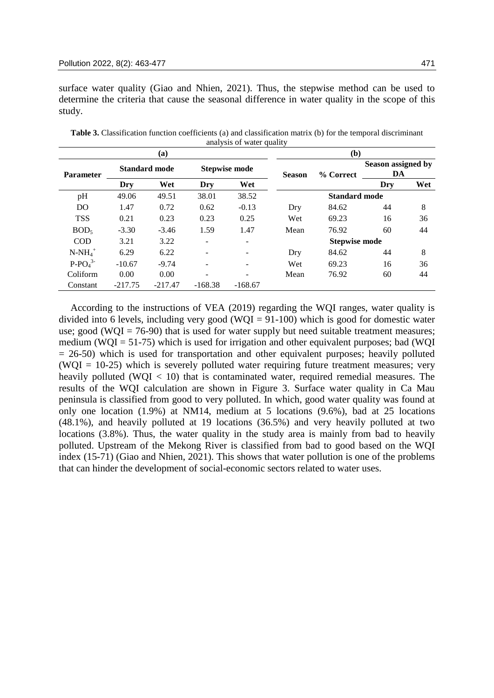surface water quality (Giao and Nhien, 2021). Thus, the stepwise method can be used to determine the criteria that cause the seasonal difference in water quality in the scope of this study.

|                  |                      | (a)       | (b)                      |                          |                      |           |                          |     |
|------------------|----------------------|-----------|--------------------------|--------------------------|----------------------|-----------|--------------------------|-----|
| <b>Parameter</b> | <b>Standard mode</b> |           | <b>Stepwise mode</b>     |                          | <b>Season</b>        | % Correct | Season assigned by<br>DA |     |
|                  | Dry                  | Wet       | Dry                      | Wet                      |                      |           | Dry                      | Wet |
| pH               | 49.06                | 49.51     | 38.01                    | 38.52                    | <b>Standard mode</b> |           |                          |     |
| DO               | 1.47                 | 0.72      | 0.62                     | $-0.13$                  | Dry                  | 84.62     | 44                       | 8   |
| <b>TSS</b>       | 0.21                 | 0.23      | 0.23                     | 0.25                     | Wet                  | 69.23     | 16                       | 36  |
| BOD <sub>5</sub> | $-3.30$              | $-3.46$   | 1.59                     | 1.47                     | Mean                 | 76.92     | 60                       | 44  |
| COD              | 3.21                 | 3.22      | ۰                        | $\overline{\phantom{a}}$ | <b>Stepwise mode</b> |           |                          |     |
| $N-NH_4^+$       | 6.29                 | 6.22      | $\overline{\phantom{a}}$ | $\overline{\phantom{a}}$ | Dry                  | 84.62     | 44                       | 8   |
| $P-PO43$         | $-10.67$             | $-9.74$   | $\overline{\phantom{a}}$ | $\overline{\phantom{a}}$ | Wet                  | 69.23     | 16                       | 36  |
| Coliform         | 0.00                 | 0.00      |                          |                          | Mean                 | 76.92     | 60                       | 44  |
| Constant         | $-217.75$            | $-217.47$ | $-168.38$                | $-168.67$                |                      |           |                          |     |

**Table 3.** Classification function coefficients (a) and classification matrix (b) for the temporal discriminant analysis of water quality

According to the instructions of VEA (2019) regarding the WQI ranges, water quality is divided into 6 levels, including very good (WQI =  $91-100$ ) which is good for domestic water use; good (WQI = 76-90) that is used for water supply but need suitable treatment measures; medium (WQI =  $51-75$ ) which is used for irrigation and other equivalent purposes; bad (WQI  $= 26-50$ ) which is used for transportation and other equivalent purposes; heavily polluted  $(WOI = 10-25)$  which is severely polluted water requiring future treatment measures; very heavily polluted (WQI  $< 10$ ) that is contaminated water, required remedial measures. The results of the WQI calculation are shown in Figure 3. Surface water quality in Ca Mau peninsula is classified from good to very polluted. In which, good water quality was found at only one location (1.9%) at NM14, medium at 5 locations (9.6%), bad at 25 locations (48.1%), and heavily polluted at 19 locations (36.5%) and very heavily polluted at two locations (3.8%). Thus, the water quality in the study area is mainly from bad to heavily polluted. Upstream of the Mekong River is classified from bad to good based on the WQI index (15-71) (Giao and Nhien, 2021). This shows that water pollution is one of the problems that can hinder the development of social-economic sectors related to water uses.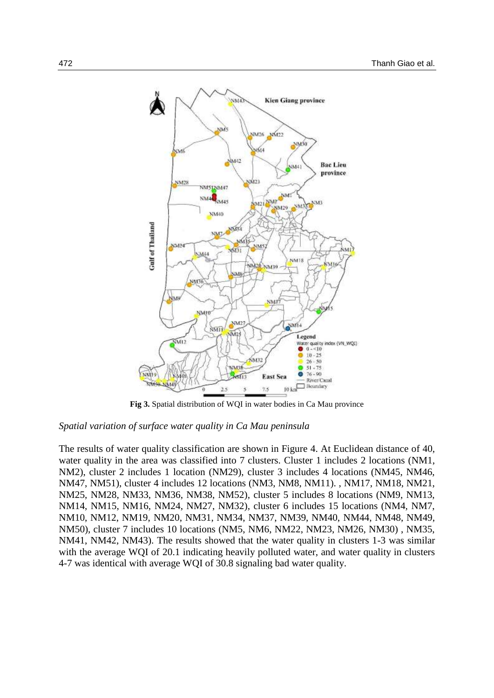

**Fig 3.** Spatial distribution of WQI in water bodies in Ca Mau province

### *Spatial variation of surface water quality in Ca Mau peninsula*

The results of water quality classification are shown in Figure 4. At Euclidean distance of 40, water quality in the area was classified into 7 clusters. Cluster 1 includes 2 locations (NM1, NM2), cluster 2 includes 1 location (NM29), cluster 3 includes 4 locations (NM45, NM46, NM47, NM51), cluster 4 includes 12 locations (NM3, NM8, NM11). , NM17, NM18, NM21, NM25, NM28, NM33, NM36, NM38, NM52), cluster 5 includes 8 locations (NM9, NM13, NM14, NM15, NM16, NM24, NM27, NM32), cluster 6 includes 15 locations (NM4, NM7, NM10, NM12, NM19, NM20, NM31, NM34, NM37, NM39, NM40, NM44, NM48, NM49, NM50), cluster 7 includes 10 locations (NM5, NM6, NM22, NM23, NM26, NM30) , NM35, NM41, NM42, NM43). The results showed that the water quality in clusters 1-3 was similar with the average WQI of 20.1 indicating heavily polluted water, and water quality in clusters 4-7 was identical with average WQI of 30.8 signaling bad water quality.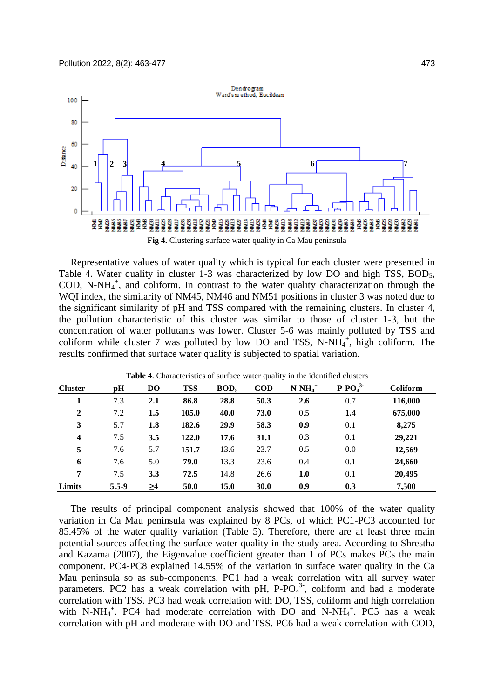

Representative values of water quality which is typical for each cluster were presented in Table 4. Water quality in cluster 1-3 was characterized by low DO and high TSS, BOD<sub>5</sub>, COD, N-NH $_4^+$ , and coliform. In contrast to the water quality characterization through the WQI index, the similarity of NM45, NM46 and NM51 positions in cluster 3 was noted due to the significant similarity of pH and TSS compared with the remaining clusters. In cluster 4, the pollution characteristic of this cluster was similar to those of cluster 1-3, but the concentration of water pollutants was lower. Cluster 5-6 was mainly polluted by TSS and coliform while cluster 7 was polluted by low DO and TSS, N-NH $_4^+$ , high coliform. The results confirmed that surface water quality is subjected to spatial variation.

| <b>Cluster</b>          | pH        | D <sub>O</sub> | <b>TSS</b> | BOD <sub>5</sub> | $\mathbf{COD}$ | $N-NH_4^+$ | $P-PO43$ | Coliform |
|-------------------------|-----------|----------------|------------|------------------|----------------|------------|----------|----------|
|                         | 7.3       | 2.1            | 86.8       | 28.8             | 50.3           | 2.6        | 0.7      | 116,000  |
| $\overline{2}$          | 7.2       | 1.5            | 105.0      | 40.0             | 73.0           | 0.5        | 1.4      | 675,000  |
| 3                       | 5.7       | 1.8            | 182.6      | 29.9             | 58.3           | 0.9        | 0.1      | 8,275    |
| $\overline{\mathbf{4}}$ | 7.5       | 3.5            | 122.0      | 17.6             | 31.1           | 0.3        | 0.1      | 29,221   |
| 5                       | 7.6       | 5.7            | 151.7      | 13.6             | 23.7           | 0.5        | 0.0      | 12,569   |
| 6                       | 7.6       | 5.0            | 79.0       | 13.3             | 23.6           | 0.4        | 0.1      | 24,660   |
| 7                       | 7.5       | 3.3            | 72.5       | 14.8             | 26.6           | 1.0        | 0.1      | 20,495   |
| Limits                  | $5.5 - 9$ | $\geq$ 4       | 50.0       | 15.0             | 30.0           | 0.9        | 0.3      | 7,500    |

**Table 4**. Characteristics of surface water quality in the identified clusters

The results of principal component analysis showed that 100% of the water quality variation in Ca Mau peninsula was explained by 8 PCs, of which PC1-PC3 accounted for 85.45% of the water quality variation (Table 5). Therefore, there are at least three main potential sources affecting the surface water quality in the study area. According to Shrestha and Kazama (2007), the Eigenvalue coefficient greater than 1 of PCs makes PCs the main component. PC4-PC8 explained 14.55% of the variation in surface water quality in the Ca Mau peninsula so as sub-components. PC1 had a weak correlation with all survey water parameters. PC2 has a weak correlation with pH,  $P$ -PO $4<sup>3</sup>$ , coliform and had a moderate correlation with TSS. PC3 had weak correlation with DO, TSS, coliform and high correlation with N-NH<sub>4</sub><sup>+</sup>. PC4 had moderate correlation with DO and N-NH<sub>4</sub><sup>+</sup>. PC5 has a weak correlation with pH and moderate with DO and TSS. PC6 had a weak correlation with COD,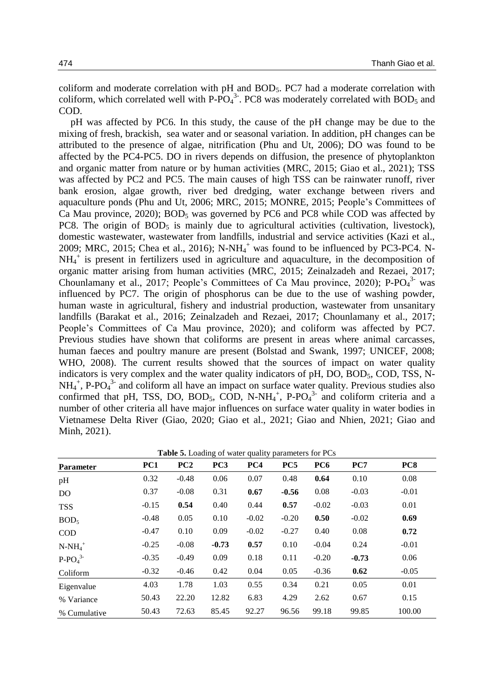coliform and moderate correlation with pH and BOD5. PC7 had a moderate correlation with coliform, which correlated well with  $P$ - $PO<sub>4</sub><sup>3</sup>$ . PC8 was moderately correlated with BOD<sub>5</sub> and COD.

pH was affected by PC6. In this study, the cause of the pH change may be due to the mixing of fresh, brackish, sea water and or seasonal variation. In addition, pH changes can be attributed to the presence of algae, nitrification (Phu and Ut, 2006); DO was found to be affected by the PC4-PC5. DO in rivers depends on diffusion, the presence of phytoplankton and organic matter from nature or by human activities (MRC, 2015; Giao et al., 2021); TSS was affected by PC2 and PC5. The main causes of high TSS can be rainwater runoff, river bank erosion, algae growth, river bed dredging, water exchange between rivers and aquaculture ponds (Phu and Ut, 2006; MRC, 2015; MONRE, 2015; People's Committees of Ca Mau province,  $2020$ ;  $BOD_5$  was governed by PC6 and PC8 while COD was affected by PC8. The origin of  $BOD_5$  is mainly due to agricultural activities (cultivation, livestock), domestic wastewater, wastewater from landfills, industrial and service activities (Kazi et al., 2009; MRC, 2015; Chea et al., 2016);  $N-NH_4^+$  was found to be influenced by PC3-PC4. N-NH<sub>4</sub><sup>+</sup> is present in fertilizers used in agriculture and aquaculture, in the decomposition of organic matter arising from human activities (MRC, 2015; Zeinalzadeh and Rezaei, 2017; Chounlamany et al., 2017; People's Committees of Ca Mau province, 2020); P-PO $_4$ <sup>3-</sup> was influenced by PC7. The origin of phosphorus can be due to the use of washing powder, human waste in agricultural, fishery and industrial production, wastewater from unsanitary landfills (Barakat et al., 2016; Zeinalzadeh and Rezaei, 2017; Chounlamany et al., 2017; People's Committees of Ca Mau province, 2020); and coliform was affected by PC7. Previous studies have shown that coliforms are present in areas where animal carcasses, human faeces and poultry manure are present (Bolstad and Swank, 1997; UNICEF, 2008; WHO, 2008). The current results showed that the sources of impact on water quality indicators is very complex and the water quality indicators of  $pH$ , DO, BOD $_5$ , COD, TSS, N- $NH_4^+$ , P-PO<sub>4</sub><sup>3-</sup> and coliform all have an impact on surface water quality. Previous studies also confirmed that pH, TSS, DO, BOD<sub>5</sub>, COD, N-NH<sub>4</sub><sup>+</sup>, P-PO<sub>4</sub><sup>3-</sup> and coliform criteria and a number of other criteria all have major influences on surface water quality in water bodies in Vietnamese Delta River (Giao, 2020; Giao et al., 2021; Giao and Nhien, 2021; Giao and Minh, 2021).

**Table 5.** Loading of water quality parameters for PCs

| <b>Parameter</b> | PC1     | PC2     | PC <sub>3</sub> | PC4     | PC5     | PC <sub>6</sub> | PC7     | PC <sub>8</sub> |
|------------------|---------|---------|-----------------|---------|---------|-----------------|---------|-----------------|
| pH               | 0.32    | $-0.48$ | 0.06            | 0.07    | 0.48    | 0.64            | 0.10    | 0.08            |
| D <sub>O</sub>   | 0.37    | $-0.08$ | 0.31            | 0.67    | $-0.56$ | 0.08            | $-0.03$ | $-0.01$         |
| <b>TSS</b>       | $-0.15$ | 0.54    | 0.40            | 0.44    | 0.57    | $-0.02$         | $-0.03$ | 0.01            |
| BOD <sub>5</sub> | $-0.48$ | 0.05    | 0.10            | $-0.02$ | $-0.20$ | 0.50            | $-0.02$ | 0.69            |
| <b>COD</b>       | $-0.47$ | 0.10    | 0.09            | $-0.02$ | $-0.27$ | 0.40            | 0.08    | 0.72            |
| $N-NH_4^+$       | $-0.25$ | $-0.08$ | $-0.73$         | 0.57    | 0.10    | $-0.04$         | 0.24    | $-0.01$         |
| $P-PO43$         | $-0.35$ | $-0.49$ | 0.09            | 0.18    | 0.11    | $-0.20$         | $-0.73$ | 0.06            |
| Coliform         | $-0.32$ | $-0.46$ | 0.42            | 0.04    | 0.05    | $-0.36$         | 0.62    | $-0.05$         |
| Eigenvalue       | 4.03    | 1.78    | 1.03            | 0.55    | 0.34    | 0.21            | 0.05    | 0.01            |
| % Variance       | 50.43   | 22.20   | 12.82           | 6.83    | 4.29    | 2.62            | 0.67    | 0.15            |
| % Cumulative     | 50.43   | 72.63   | 85.45           | 92.27   | 96.56   | 99.18           | 99.85   | 100.00          |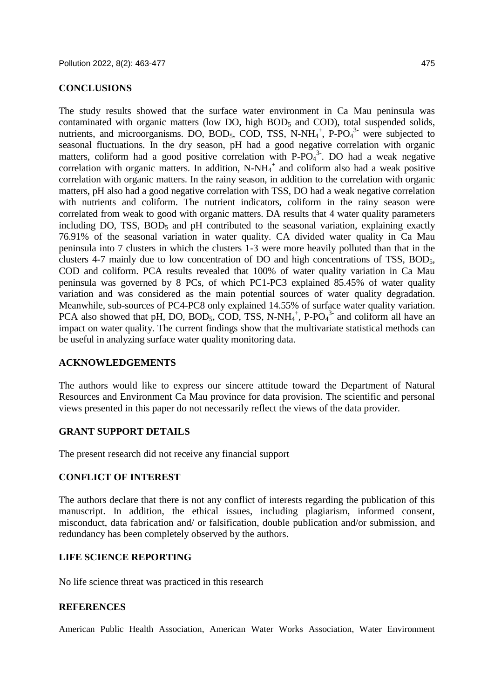### **CONCLUSIONS**

The study results showed that the surface water environment in Ca Mau peninsula was contaminated with organic matters (low DO, high  $BOD<sub>5</sub>$  and COD), total suspended solids, nutrients, and microorganisms. DO, BOD<sub>5</sub>, COD, TSS, N-NH<sub>4</sub><sup>+</sup>, P-PO<sub>4</sub><sup>3-</sup> were subjected to seasonal fluctuations. In the dry season, pH had a good negative correlation with organic matters, coliform had a good positive correlation with  $P$ - $PO<sub>4</sub><sup>3</sup>$ . DO had a weak negative correlation with organic matters. In addition,  $N-NH<sub>4</sub><sup>+</sup>$  and coliform also had a weak positive correlation with organic matters. In the rainy season, in addition to the correlation with organic matters, pH also had a good negative correlation with TSS, DO had a weak negative correlation with nutrients and coliform. The nutrient indicators, coliform in the rainy season were correlated from weak to good with organic matters. DA results that 4 water quality parameters including  $DO$ ,  $TSS$ ,  $BOD<sub>5</sub>$  and  $pH$  contributed to the seasonal variation, explaining exactly 76.91% of the seasonal variation in water quality. CA divided water quality in Ca Mau peninsula into 7 clusters in which the clusters 1-3 were more heavily polluted than that in the clusters 4-7 mainly due to low concentration of DO and high concentrations of TSS, BOD5, COD and coliform. PCA results revealed that 100% of water quality variation in Ca Mau peninsula was governed by 8 PCs, of which PC1-PC3 explained 85.45% of water quality

variation and was considered as the main potential sources of water quality degradation. Meanwhile, sub-sources of PC4-PC8 only explained 14.55% of surface water quality variation. PCA also showed that pH, DO, BOD<sub>5</sub>, COD, TSS, N-NH<sub>4</sub><sup>+</sup>, P-PO<sub>4</sub><sup>3-</sup> and coliform all have an impact on water quality. The current findings show that the multivariate statistical methods can be useful in analyzing surface water quality monitoring data.

## **ACKNOWLEDGEMENTS**

The authors would like to express our sincere attitude toward the Department of Natural Resources and Environment Ca Mau province for data provision. The scientific and personal views presented in this paper do not necessarily reflect the views of the data provider.

## **GRANT SUPPORT DETAILS**

The present research did not receive any financial support

## **CONFLICT OF INTEREST**

The authors declare that there is not any conflict of interests regarding the publication of this manuscript. In addition, the ethical issues, including plagiarism, informed consent, misconduct, data fabrication and/ or falsification, double publication and/or submission, and redundancy has been completely observed by the authors.

## **LIFE SCIENCE REPORTING**

No life science threat was practiced in this research

## **REFERENCES**

American Public Health Association, American Water Works Association, Water Environment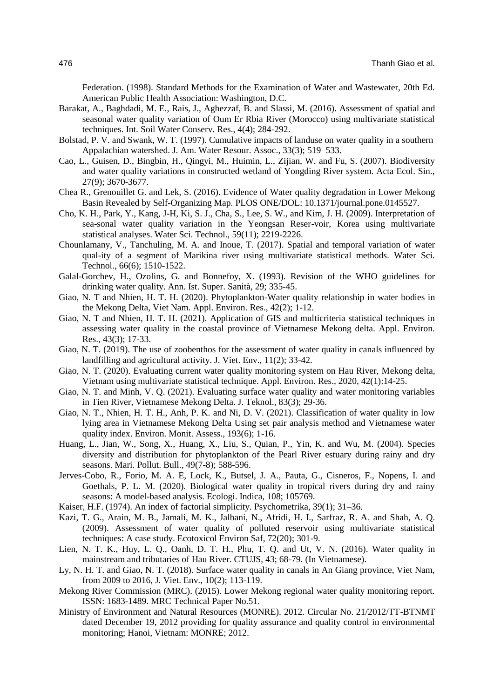Federation. (1998). Standard Methods for the Examination of Water and Wastewater, 20th Ed. American Public Health Association: Washington, D.C.

- Barakat, A., Baghdadi, M. E., Rais, J., Aghezzaf, B. and Slassi, M. (2016). Assessment of spatial and seasonal water quality variation of Oum Er Rbia River (Morocco) using multivariate statistical techniques. Int. Soil Water Conserv. Res., 4(4); 284-292.
- Bolstad, P. V. and Swank, W. T. (1997). Cumulative impacts of landuse on water quality in a southern Appalachian watershed. J. Am. Water Resour. Assoc., 33(3); 519–533.
- Cao, L., Guisen, D., Bingbin, H., Qingyi, M., Huimin, L., Zijian, W. and Fu, S. (2007). Biodiversity and water quality variations in constructed wetland of Yongding River system. Acta Ecol. Sin., 27(9); 3670-3677.
- Chea R., Grenouillet G. and Lek, S. (2016). Evidence of Water quality degradation in Lower Mekong Basin Revealed by Self-Organizing Map. PLOS ONE/DOL: 10.1371/journal.pone.0145527.
- Cho, K. H., Park, Y., Kang, J-H, Ki, S. J., Cha, S., Lee, S. W., and Kim, J. H. (2009). Interpretation of sea-sonal water quality variation in the Yeongsan Reser-voir, Korea using multivariate statistical analyses. Water Sci. Technol., 59(11); 2219-2226.
- Chounlamany, V., Tanchuling, M. A. and Inoue, T. (2017). Spatial and temporal variation of water qual-ity of a segment of Marikina river using multivariate statistical methods. Water Sci. Technol., 66(6); 1510-1522.
- Galal-Gorchev, H., Ozolins, G. and Bonnefoy, X. (1993). Revision of the WHO guidelines for drinking water quality. Ann. Ist. Super. Sanità, 29; 335-45.
- Giao, N. T and Nhien, H. T. H. (2020). Phytoplankton-Water quality relationship in water bodies in the Mekong Delta, Viet Nam. Appl. Environ. Res., 42(2); 1-12.
- Giao, N. T and Nhien, H. T. H. (2021). Application of GIS and multicriteria statistical techniques in assessing water quality in the coastal province of Vietnamese Mekong delta. Appl. Environ. Res., 43(3); 17-33.
- Giao, N. T. (2019). The use of zoobenthos for the assessment of water quality in canals influenced by landfilling and agricultural activity. J. Viet. Env., 11(2); 33-42.
- Giao, N. T. (2020). Evaluating current water quality monitoring system on Hau River, Mekong delta, Vietnam using multivariate statistical technique. Appl. Environ. Res., 2020, 42(1):14-25.
- Giao, N. T. and Minh, V. Q. (2021). Evaluating surface water quality and water monitoring variables in Tien River, Vietnamese Mekong Delta. J. Teknol., 83(3); 29-36.
- Giao, N. T., Nhien, H. T. H., Anh, P. K. and Ni, D. V. (2021). Classification of water quality in low lying area in Vietnamese Mekong Delta Using set pair analysis method and Vietnamese water quality index. Environ. Monit. Assess., 193(6); 1-16.
- Huang, L., Jian, W., Song, X., Huang, X., Liu, S., Quian, P., Yin, K. and Wu, M. (2004). Species diversity and distribution for phytoplankton of the Pearl River estuary during rainy and dry seasons. Mari. Pollut. Bull., 49(7-8); 588-596.
- Jerves-Cobo, R., Forio, M. A. E, Lock, K., Butsel, J. A., Pauta, G., Cisneros, F., Nopens, I. and Goethals, P. L. M. (2020). Biological water quality in tropical rivers during dry and rainy seasons: A model-based analysis. Ecologi. Indica, 108; 105769.
- Kaiser, H.F. (1974). An index of factorial simplicity. Psychometrika, 39(1); 31–36.
- Kazi, T. G., Arain, M. B., Jamali, M. K., Jalbani, N., Afridi, H. I., Sarfraz, R. A. and Shah, A. Q. (2009). Assessment of water quality of polluted reservoir using multivariate statistical techniques: A case study. Ecotoxicol Environ Saf, 72(20); 301-9.
- Lien, N. T. K., Huy, L. Q., Oanh, D. T. H., Phu, T. Q. and Ut, V. N. (2016). Water quality in mainstream and tributaries of Hau River. CTUJS, 43; 68-79. (In Vietnamese).
- Ly, N. H. T. and Giao, N. T. (2018). Surface water quality in canals in An Giang province, Viet Nam, from 2009 to 2016, J. Viet. Env., 10(2); 113-119.
- Mekong River Commission (MRC). (2015). Lower Mekong regional water quality monitoring report. ISSN: 1683-1489. MRC Technical Paper No.51.
- Ministry of Environment and Natural Resources (MONRE). 2012. Circular No. 21/2012/TT-BTNMT dated December 19, 2012 providing for quality assurance and quality control in environmental monitoring; Hanoi, Vietnam: MONRE; 2012.